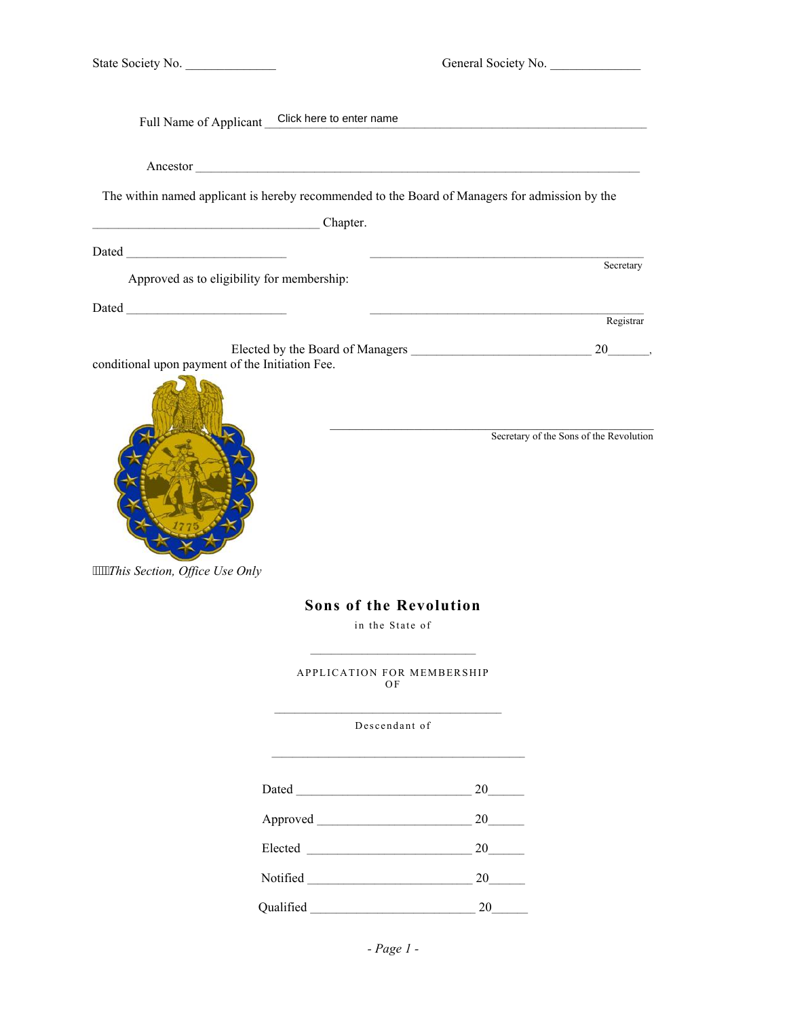|  |  | State Society No. |  |  |
|--|--|-------------------|--|--|
|--|--|-------------------|--|--|

General Society No.

|                                                 | Full Name of Applicant Click here to enter name |                                                                                                                |                                         |
|-------------------------------------------------|-------------------------------------------------|----------------------------------------------------------------------------------------------------------------|-----------------------------------------|
|                                                 |                                                 |                                                                                                                |                                         |
|                                                 |                                                 | The within named applicant is hereby recommended to the Board of Managers for admission by the                 |                                         |
| Chapter.                                        |                                                 |                                                                                                                |                                         |
|                                                 |                                                 |                                                                                                                |                                         |
| Approved as to eligibility for membership:      |                                                 |                                                                                                                | Secretary                               |
|                                                 |                                                 |                                                                                                                | Registrar                               |
|                                                 |                                                 |                                                                                                                |                                         |
| conditional upon payment of the Initiation Fee. |                                                 |                                                                                                                |                                         |
| ""This Section, Office Use Only                 |                                                 | <b>Sons of the Revolution</b>                                                                                  | Secretary of the Sons of the Revolution |
|                                                 |                                                 | in the State of                                                                                                |                                         |
|                                                 |                                                 | the control of the control of the control of the control of the control of<br>APPLICATION FOR MEMBERSHIP<br>ΟF |                                         |
|                                                 |                                                 | Descendant of                                                                                                  |                                         |
|                                                 |                                                 | $20$ <sub>______</sub>                                                                                         |                                         |
|                                                 |                                                 | 20                                                                                                             |                                         |
|                                                 |                                                 | 20                                                                                                             |                                         |
|                                                 |                                                 | 20                                                                                                             |                                         |

Qualified \_\_\_\_\_\_\_\_\_\_\_\_\_\_\_\_\_\_\_\_\_\_\_\_\_\_\_\_\_\_\_\_ 20\_\_\_\_\_\_\_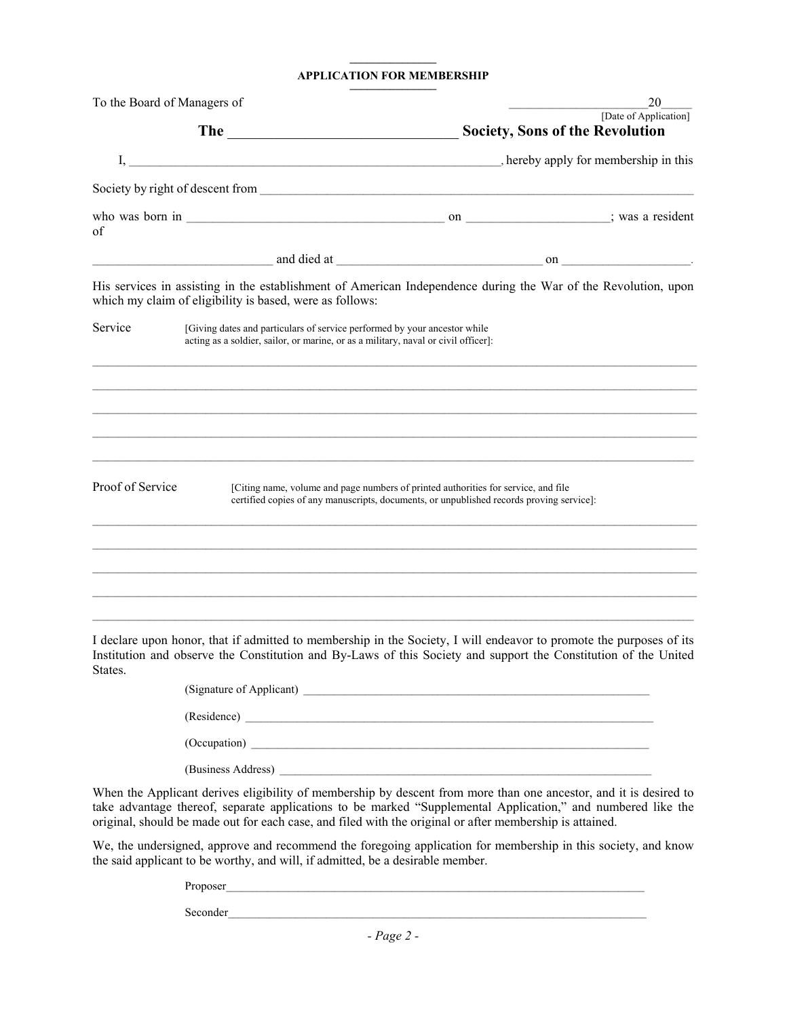## **––––––––––––––– APPLICATION FOR MEMBERSHIP**

| To the Board of Managers of |                                                                                                                                                                 |                                                                                                                                                                                                                                        | 20                                                              |
|-----------------------------|-----------------------------------------------------------------------------------------------------------------------------------------------------------------|----------------------------------------------------------------------------------------------------------------------------------------------------------------------------------------------------------------------------------------|-----------------------------------------------------------------|
|                             |                                                                                                                                                                 |                                                                                                                                                                                                                                        | [Date of Application]<br><b>Society, Sons of the Revolution</b> |
|                             |                                                                                                                                                                 |                                                                                                                                                                                                                                        |                                                                 |
|                             |                                                                                                                                                                 |                                                                                                                                                                                                                                        |                                                                 |
| of                          |                                                                                                                                                                 |                                                                                                                                                                                                                                        |                                                                 |
|                             |                                                                                                                                                                 |                                                                                                                                                                                                                                        |                                                                 |
|                             | which my claim of eligibility is based, were as follows:                                                                                                        | His services in assisting in the establishment of American Independence during the War of the Revolution, upon                                                                                                                         |                                                                 |
| Service                     | [Giving dates and particulars of service performed by your ancestor while<br>acting as a soldier, sailor, or marine, or as a military, naval or civil officer]: |                                                                                                                                                                                                                                        |                                                                 |
|                             |                                                                                                                                                                 |                                                                                                                                                                                                                                        |                                                                 |
|                             |                                                                                                                                                                 |                                                                                                                                                                                                                                        |                                                                 |
| Proof of Service            |                                                                                                                                                                 | [Citing name, volume and page numbers of printed authorities for service, and file<br>certified copies of any manuscripts, documents, or unpublished records proving service]:                                                         |                                                                 |
|                             |                                                                                                                                                                 |                                                                                                                                                                                                                                        |                                                                 |
|                             |                                                                                                                                                                 |                                                                                                                                                                                                                                        |                                                                 |
| States.                     |                                                                                                                                                                 | I declare upon honor, that if admitted to membership in the Society, I will endeavor to promote the purposes of its<br>Institution and observe the Constitution and By-Laws of this Society and support the Constitution of the United |                                                                 |

| (Residence)        |
|--------------------|
| (Occupation)       |
| (Business Address) |

When the Applicant derives eligibility of membership by descent from more than one ancestor, and it is desired to take advantage thereof, separate applications to be marked "Supplemental Application," and numbered like the original, should be made out for each case, and filed with the original or after membership is attained.

We, the undersigned, approve and recommend the foregoing application for membership in this society, and know the said applicant to be worthy, and will, if admitted, be a desirable member.

Proposer\_\_\_\_\_\_\_\_\_\_\_\_\_\_\_\_\_\_\_\_\_\_\_\_\_\_\_\_\_\_\_\_\_\_\_\_\_\_\_\_\_\_\_\_\_\_\_\_\_\_\_\_\_\_\_\_\_\_\_\_\_\_\_\_\_\_\_\_\_\_\_\_\_\_\_\_\_\_\_\_\_

Seconder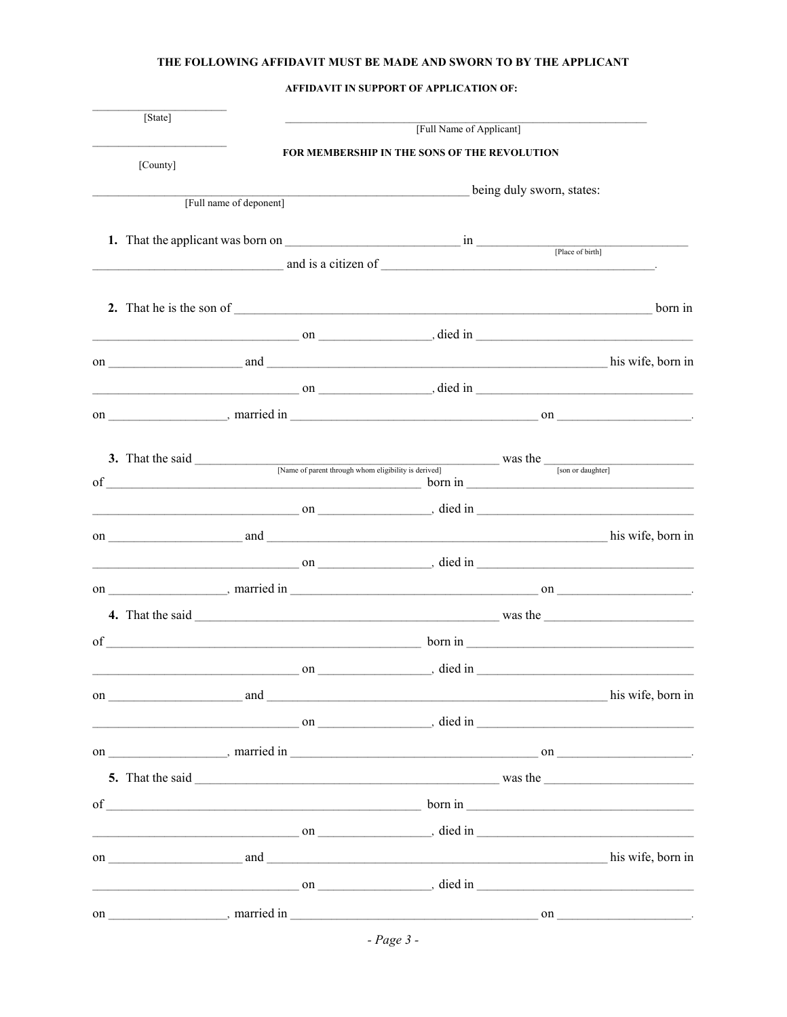## THE FOLLOWING AFFIDAVIT MUST BE MADE AND SWORN TO BY THE APPLICANT

AFFIDAVIT IN SUPPORT OF APPLICATION OF:

| [State]  |                         |                                              | [Full Name of Applicant] |                                                                                                                                                                                                                                                                                        |  |
|----------|-------------------------|----------------------------------------------|--------------------------|----------------------------------------------------------------------------------------------------------------------------------------------------------------------------------------------------------------------------------------------------------------------------------------|--|
|          |                         | FOR MEMBERSHIP IN THE SONS OF THE REVOLUTION |                          |                                                                                                                                                                                                                                                                                        |  |
| [County] |                         |                                              |                          |                                                                                                                                                                                                                                                                                        |  |
|          | [Full name of deponent] |                                              |                          | being duly sworn, states:                                                                                                                                                                                                                                                              |  |
|          |                         |                                              |                          |                                                                                                                                                                                                                                                                                        |  |
|          |                         |                                              |                          | [Place of birth]                                                                                                                                                                                                                                                                       |  |
|          |                         |                                              |                          | $\frac{1}{2}$ and is a citizen of $\frac{1}{2}$ and is a citizen of $\frac{1}{2}$ and $\frac{1}{2}$ and $\frac{1}{2}$ and $\frac{1}{2}$ and $\frac{1}{2}$ and $\frac{1}{2}$ and $\frac{1}{2}$ and $\frac{1}{2}$ and $\frac{1}{2}$ and $\frac{1}{2}$ and $\frac{1}{2}$ and $\frac{1}{2$ |  |
|          |                         |                                              |                          |                                                                                                                                                                                                                                                                                        |  |
|          |                         |                                              |                          |                                                                                                                                                                                                                                                                                        |  |
|          |                         |                                              |                          | $\sim$ on $\sim$ died in $\sim$ died in $\sim$                                                                                                                                                                                                                                         |  |
|          |                         |                                              |                          |                                                                                                                                                                                                                                                                                        |  |
|          |                         |                                              |                          |                                                                                                                                                                                                                                                                                        |  |
|          |                         |                                              |                          |                                                                                                                                                                                                                                                                                        |  |
|          |                         |                                              |                          |                                                                                                                                                                                                                                                                                        |  |
|          |                         |                                              |                          |                                                                                                                                                                                                                                                                                        |  |
|          |                         |                                              |                          | 3. That the said <u>Same of parent through whom eligibility is derived</u> was the <u>same of parent through whom eligibility</u> is derived was the said                                                                                                                              |  |
|          |                         |                                              |                          |                                                                                                                                                                                                                                                                                        |  |
|          |                         |                                              |                          |                                                                                                                                                                                                                                                                                        |  |
|          |                         |                                              |                          |                                                                                                                                                                                                                                                                                        |  |
|          |                         |                                              |                          | $\sim$ on $\sim$ on $\sim$ died in $\sim$                                                                                                                                                                                                                                              |  |
|          |                         |                                              |                          |                                                                                                                                                                                                                                                                                        |  |
|          |                         |                                              |                          |                                                                                                                                                                                                                                                                                        |  |
|          |                         |                                              |                          | $\text{of}$ $\frac{1}{\sqrt{1-\frac{1}{2}}\left(\frac{1}{2}-\frac{1}{2}\right)}$ born in $\frac{1}{\sqrt{1-\frac{1}{2}}\left(\frac{1}{2}-\frac{1}{2}\right)}$                                                                                                                          |  |
|          |                         |                                              |                          |                                                                                                                                                                                                                                                                                        |  |
|          |                         |                                              |                          | on his wife, born in his wife, born in                                                                                                                                                                                                                                                 |  |
|          |                         |                                              |                          | $\sim$ 0n $\sim$ 0n $\sim$ 0n $\sim$ 0.1 $\sim$ 0.1 $\sim$ 0.1 $\sim$ 0.1 $\sim$ 0.1 $\sim$ 0.1 $\sim$ 0.1 $\sim$ 0.1 $\sim$ 0.1 $\sim$ 0.1 $\sim$ 0.1 $\sim$ 0.1 $\sim$ 0.1 $\sim$ 0.1 $\sim$ 0.1 $\sim$ 0.1 $\sim$ 0.1 $\sim$ 0.1 $\sim$ 0.1 $\sim$ 0.1 $\sim$ 0.1 $\sim$ 0.1        |  |
|          |                         |                                              |                          |                                                                                                                                                                                                                                                                                        |  |
|          |                         |                                              |                          |                                                                                                                                                                                                                                                                                        |  |
|          |                         |                                              |                          |                                                                                                                                                                                                                                                                                        |  |
|          |                         |                                              |                          |                                                                                                                                                                                                                                                                                        |  |
|          |                         |                                              |                          | $\sim$ 0n $\sim$ 0n $\sim$ 0n $\sim$ 0.1 $\sim$ 0.1 $\sim$ 0.1 $\sim$ 0.1 $\sim$ 0.1 $\sim$ 0.1 $\sim$ 0.1 $\sim$ 0.1 $\sim$ 0.1 $\sim$ 0.1 $\sim$ 0.1 $\sim$ 0.1 $\sim$ 0.1 $\sim$ 0.1 $\sim$ 0.1 $\sim$ 0.1 $\sim$ 0.1 $\sim$ 0.1 $\sim$ 0.1 $\sim$ 0.1 $\sim$ 0.1 $\sim$ 0.1        |  |
|          |                         |                                              |                          |                                                                                                                                                                                                                                                                                        |  |
|          |                         |                                              |                          | $\sim$ 0n $\sim$ 0n $\sim$ 0n $\sim$ 0.1 $\sim$ 0.1 $\sim$ 0.1 $\sim$ 0.1 $\sim$ 0.1 $\sim$ 0.1 $\sim$ 0.1 $\sim$ 0.1 $\sim$ 0.1 $\sim$ 0.1 $\sim$ 0.1 $\sim$ 0.1 $\sim$ 0.1 $\sim$ 0.1 $\sim$ 0.1 $\sim$ 0.1 $\sim$ 0.1 $\sim$ 0.1 $\sim$ 0.1 $\sim$ 0.1 $\sim$ 0.1 $\sim$ 0.1        |  |
|          |                         |                                              |                          |                                                                                                                                                                                                                                                                                        |  |
|          |                         |                                              |                          |                                                                                                                                                                                                                                                                                        |  |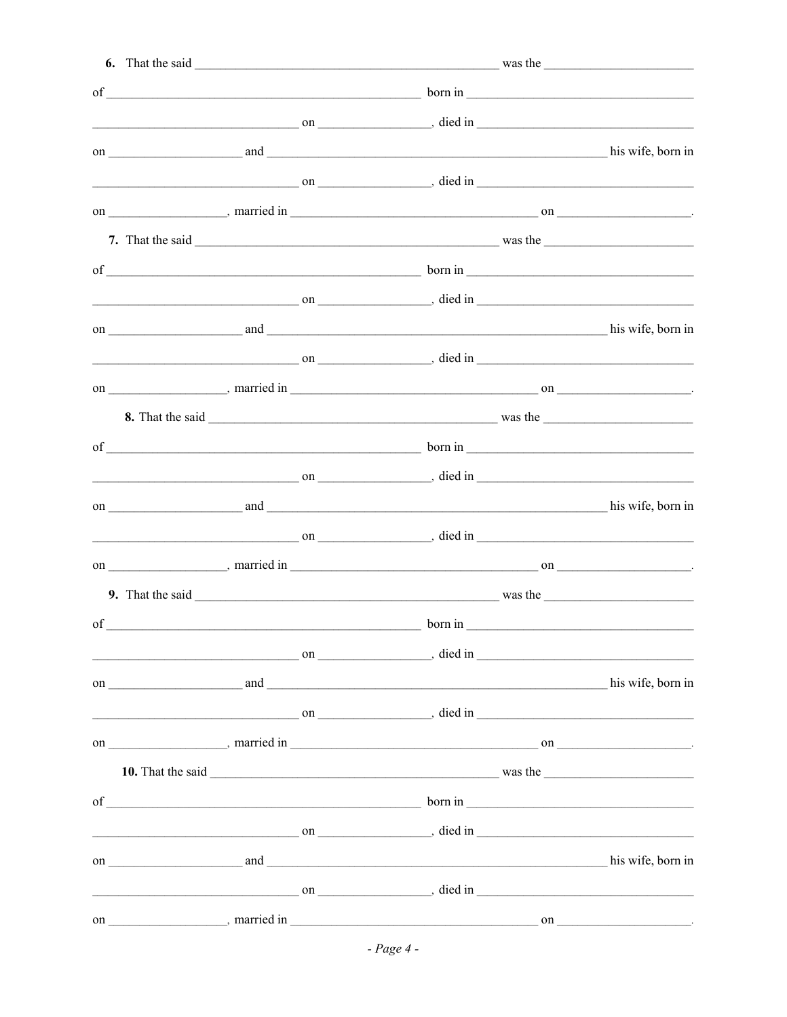|    | $\sim$ on $\sim$ died in $\sim$                                                                                                                                                                                                                                                 |         |                   |
|----|---------------------------------------------------------------------------------------------------------------------------------------------------------------------------------------------------------------------------------------------------------------------------------|---------|-------------------|
|    |                                                                                                                                                                                                                                                                                 |         |                   |
|    | $\sim$ 0n $\sim$ 0n $\sim$ 0n $\sim$ 0.1 $\sim$ 0.1 $\sim$ 0.1 $\sim$ 0.1 $\sim$ 0.1 $\sim$ 0.1 $\sim$ 0.1 $\sim$ 0.1 $\sim$ 0.1 $\sim$ 0.1 $\sim$ 0.1 $\sim$ 0.1 $\sim$ 0.1 $\sim$ 0.1 $\sim$ 0.1 $\sim$ 0.1 $\sim$ 0.1 $\sim$ 0.1 $\sim$ 0.1 $\sim$ 0.1 $\sim$ 0.1 $\sim$ 0.1 |         |                   |
|    |                                                                                                                                                                                                                                                                                 |         |                   |
|    |                                                                                                                                                                                                                                                                                 |         |                   |
|    |                                                                                                                                                                                                                                                                                 |         |                   |
|    | $\sim$ 0n $\sim$ 0n $\sim$ 0n $\sim$ 0.1 $\sim$ 0.1 $\sim$ 0.1 $\sim$ 0.1 $\sim$ 0.1 $\sim$ 0.1 $\sim$ 0.1 $\sim$ 0.1 $\sim$ 0.1 $\sim$ 0.1 $\sim$ 0.1 $\sim$ 0.1 $\sim$ 0.1 $\sim$ 0.1 $\sim$ 0.1 $\sim$ 0.1 $\sim$ 0.1 $\sim$ 0.1 $\sim$ 0.1 $\sim$ 0.1 $\sim$ 0.1 $\sim$ 0.1 |         |                   |
|    |                                                                                                                                                                                                                                                                                 |         |                   |
|    | $\sim$ 0n $\sim$ 0n $\sim$ 0n $\sim$ 0.1 $\sim$ 0.1 $\sim$ 0.1 $\sim$ 0.1 $\sim$ 0.1 $\sim$ 0.1 $\sim$ 0.1 $\sim$ 0.1 $\sim$ 0.1 $\sim$ 0.1 $\sim$ 0.1 $\sim$ 0.1 $\sim$ 0.1 $\sim$ 0.1 $\sim$ 0.1 $\sim$ 0.1 $\sim$ 0.1 $\sim$ 0.1 $\sim$ 0.1 $\sim$ 0.1 $\sim$ 0.1 $\sim$ 0.1 |         |                   |
|    |                                                                                                                                                                                                                                                                                 |         |                   |
|    |                                                                                                                                                                                                                                                                                 |         |                   |
|    | of $\rule{1em}{0.15mm}$ born in $\rule{1.5mm}{0.15mm}$ born in $\rule{1.5mm}{0.15mm}$                                                                                                                                                                                           |         |                   |
|    | $\sim$ on $\sim$ on $\sim$ died in                                                                                                                                                                                                                                              |         |                   |
|    |                                                                                                                                                                                                                                                                                 |         | his wife, born in |
|    | $\sim$ on $\sim$ died in                                                                                                                                                                                                                                                        |         |                   |
|    |                                                                                                                                                                                                                                                                                 |         |                   |
|    |                                                                                                                                                                                                                                                                                 |         |                   |
| of |                                                                                                                                                                                                                                                                                 | born in |                   |
|    | $\sim$ 0n $\sim$ 0n $\sim$ 0n $\sim$ 0.1 $\sim$ 0.1 $\sim$ 0.1 $\sim$ 0.1 $\sim$ 0.1 $\sim$ 0.1 $\sim$ 0.1 $\sim$ 0.1 $\sim$ 0.1 $\sim$ 0.1 $\sim$ 0.1 $\sim$ 0.1 $\sim$ 0.1 $\sim$ 0.1 $\sim$ 0.1 $\sim$ 0.1 $\sim$ 0.1 $\sim$ 0.1 $\sim$ 0.1 $\sim$ 0.1 $\sim$ 0.1 $\sim$ 0.1 |         |                   |
|    |                                                                                                                                                                                                                                                                                 |         |                   |
|    | $\sim$ 0n $\sim$ 0n $\sim$ 0n $\sim$ 0n $\sim$ 0.0 $\sim$ 0.0 $\sim$ 0.0 $\sim$ 0.0 $\sim$ 0.0 $\sim$ 0.0 $\sim$ 0.0 $\sim$ 0.0 $\sim$ 0.0 $\sim$ 0.0 $\sim$ 0.0 $\sim$ 0.0 $\sim$ 0.0 $\sim$ 0.0 $\sim$ 0.0 $\sim$ 0.0 $\sim$ 0.0 $\sim$ 0.0 $\sim$ 0.0 $\sim$ 0.0 $\sim$ 0.0  |         |                   |
|    |                                                                                                                                                                                                                                                                                 |         |                   |
|    |                                                                                                                                                                                                                                                                                 |         |                   |
|    | of $\rule{1em}{0.15mm}$ born in $\rule{1.5mm}{0.15mm}$ born in $\rule{1.5mm}{0.15mm}$                                                                                                                                                                                           |         |                   |
|    | $\sim$ 0n $\sim$ 0n $\sim$ 0n $\sim$ 0n $\sim$ 0.1 $\sim$ 0.1 $\sim$ 0.1 $\sim$ 0.1 $\sim$ 0.1 $\sim$ 0.1 $\sim$ 0.1 $\sim$ 0.1 $\sim$ 0.1 $\sim$ 0.1 $\sim$ 0.1 $\sim$ 0.1 $\sim$ 0.1 $\sim$ 0.1 $\sim$ 0.1 $\sim$ 0.1 $\sim$ 0.1 $\sim$ 0.1 $\sim$ 0.1 $\sim$ 0.1 $\sim$ 0.1  |         |                   |
|    |                                                                                                                                                                                                                                                                                 |         |                   |
|    | $\sim$ on $\sim$ on $\sim$ died in $\sim$                                                                                                                                                                                                                                       |         |                   |
|    |                                                                                                                                                                                                                                                                                 |         |                   |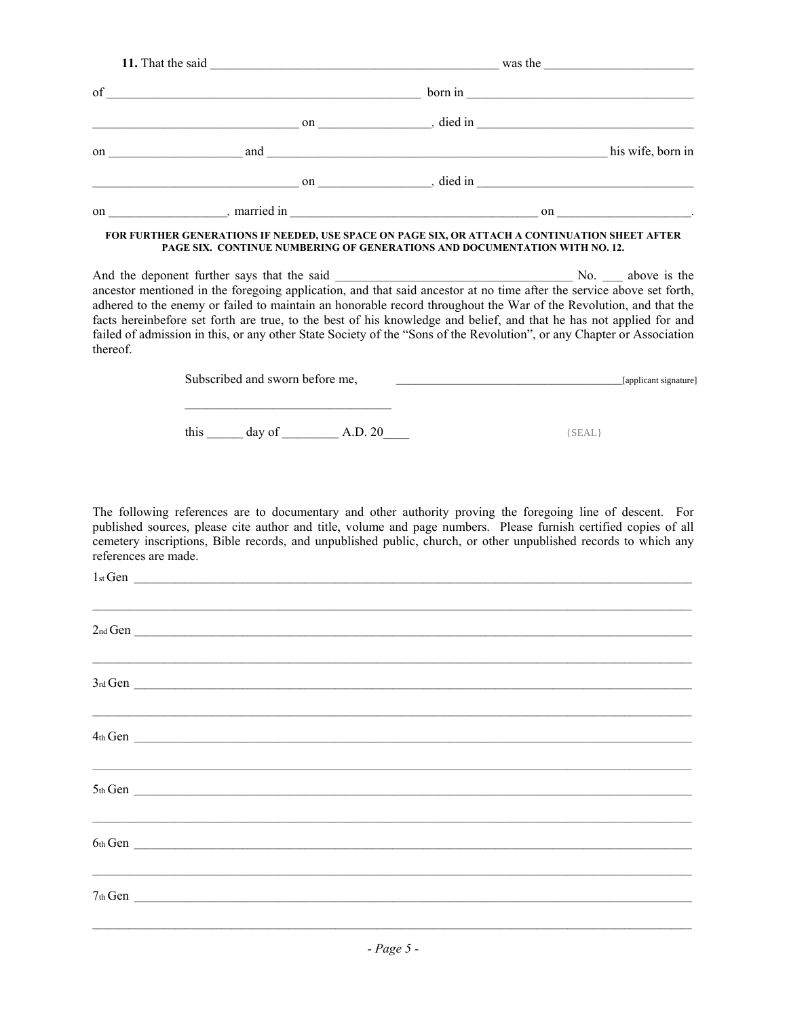|          |                                                                                           |  | $\text{of}$ $\frac{1}{\sqrt{1-\frac{1}{2}}\sqrt{1-\frac{1}{2}}\sqrt{1-\frac{1}{2}}\sqrt{1-\frac{1}{2}}\sqrt{1-\frac{1}{2}}\sqrt{1-\frac{1}{2}}\sqrt{1-\frac{1}{2}}\sqrt{1-\frac{1}{2}}\sqrt{1-\frac{1}{2}}\sqrt{1-\frac{1}{2}}\sqrt{1-\frac{1}{2}}\sqrt{1-\frac{1}{2}}\sqrt{1-\frac{1}{2}}\sqrt{1-\frac{1}{2}}\sqrt{1-\frac{1}{2}}\sqrt{1-\frac{1}{2}}\sqrt{1-\frac{1}{2}}\sqrt{1-\frac{1}{2}}\sqrt{1-\frac{1}{$ |
|----------|-------------------------------------------------------------------------------------------|--|------------------------------------------------------------------------------------------------------------------------------------------------------------------------------------------------------------------------------------------------------------------------------------------------------------------------------------------------------------------------------------------------------------------|
|          |                                                                                           |  | $\frac{1}{2}$ on $\frac{1}{2}$ , died in $\frac{1}{2}$                                                                                                                                                                                                                                                                                                                                                           |
|          |                                                                                           |  |                                                                                                                                                                                                                                                                                                                                                                                                                  |
|          |                                                                                           |  | $\sim$ 0n $\sim$ 0n $\sim$ 0n $\sim$ 0.1 $\sim$ 0.1 $\sim$ 0.1 $\sim$ 0.1 $\sim$ 0.1 $\sim$ 0.1 $\sim$ 0.1 $\sim$ 0.1 $\sim$ 0.1 $\sim$ 0.1 $\sim$ 0.1 $\sim$ 0.1 $\sim$ 0.1 $\sim$ 0.1 $\sim$ 0.1 $\sim$ 0.1 $\sim$ 0.1 $\sim$ 0.1 $\sim$ 0.1 $\sim$ 0.1 $\sim$ 0.1 $\sim$ 0.1                                                                                                                                  |
|          |                                                                                           |  |                                                                                                                                                                                                                                                                                                                                                                                                                  |
| thereof. | PAGE SIX. CONTINUE NUMBERING OF GENERATIONS AND DOCUMENTATION WITH NO. 12.                |  | adhered to the enemy or failed to maintain an honorable record throughout the War of the Revolution, and that the<br>facts hereinbefore set forth are true, to the best of his knowledge and belief, and that he has not applied for and<br>failed of admission in this, or any other State Society of the "Sons of the Revolution", or any Chapter or Association                                               |
|          | the control of the control of the control of the control of the control of the control of |  |                                                                                                                                                                                                                                                                                                                                                                                                                  |
|          | this $\_\_\_\_$ day of $\_\_\_\_\_$ A.D. 20                                               |  | ${SEAL}$                                                                                                                                                                                                                                                                                                                                                                                                         |
|          |                                                                                           |  | The following references are to documentary and other authority proving the foregoing line of descent. For<br>published sources, please cite author and title, volume and page numbers. Please furnish certified copies of all                                                                                                                                                                                   |

| $1st$ Gen                                                                                                             |  |  |
|-----------------------------------------------------------------------------------------------------------------------|--|--|
|                                                                                                                       |  |  |
| 2 <sub>nd</sub> Gen                                                                                                   |  |  |
| <u> 1989 - Johann Stoff, deutscher Stoff, der Stoff, der Stoff, der Stoff, der Stoff, der Stoff, der Stoff, der S</u> |  |  |
| $3rd$ Gen $\overline{\phantom{a}}$                                                                                    |  |  |
|                                                                                                                       |  |  |
|                                                                                                                       |  |  |
|                                                                                                                       |  |  |
| $5th$ Gen $\overline{\qquad \qquad }$                                                                                 |  |  |
| <u> 1989 - Johann Stoff, deutscher Stoff, der Stoff, der Stoff, der Stoff, der Stoff, der Stoff, der Stoff, der S</u> |  |  |
| $6th$ Gen $\overline{\phantom{a}}$                                                                                    |  |  |
|                                                                                                                       |  |  |
| $7th$ Gen $\overline{\phantom{a}}$                                                                                    |  |  |
|                                                                                                                       |  |  |
|                                                                                                                       |  |  |

cemetery inscriptions, Bible records, and unpublished public, church, or other unpublished records to which any

references are made.